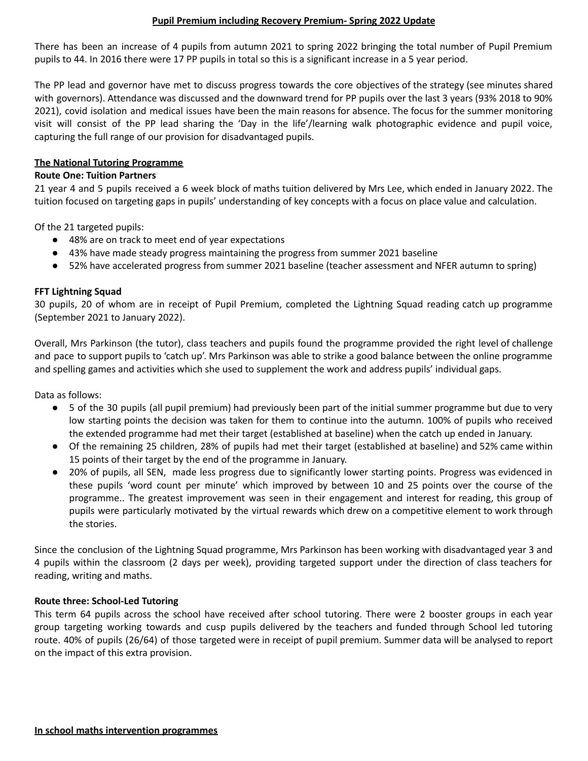# **Pupil Premium including Recovery Premium- Spring 2022 Update**

There has been an increase of 4 pupils from autumn 2021 to spring 2022 bringing the total number of Pupil Premium pupils to 44. In 2016 there were 17 PP pupils in total so this is a significant increase in a 5 year period.

The PP lead and governor have met to discuss progress towards the core objectives of the strategy (see minutes shared with governors). Attendance was discussed and the downward trend for PP pupils over the last 3 years (93% 2018 to 90% 2021), covid isolation and medical issues have been the main reasons for absence. The focus for the summer monitoring visit will consist of the PP lead sharing the 'Day in the life'/learning walk photographic evidence and pupil voice, capturing the full range of our provision for disadvantaged pupils.

### **The National Tutoring Programme**

#### **Route One: Tuition Partners**

21 year 4 and 5 pupils received a 6 week block of maths tuition delivered by Mrs Lee, which ended in January 2022. The tuition focused on targeting gaps in pupils' understanding of key concepts with a focus on place value and calculation.

Of the 21 targeted pupils:

- 48% are on track to meet end of year expectations
- 43% have made steady progress maintaining the progress from summer 2021 baseline
- 52% have accelerated progress from summer 2021 baseline (teacher assessment and NFER autumn to spring)

# **FFT Lightning Squad**

30 pupils, 20 of whom are in receipt of Pupil Premium, completed the Lightning Squad reading catch up programme (September 2021 to January 2022).

Overall, Mrs Parkinson (the tutor), class teachers and pupils found the programme provided the right level of challenge and pace to support pupils to 'catch up'. Mrs Parkinson was able to strike a good balance between the online programme and spelling games and activities which she used to supplement the work and address pupils' individual gaps.

Data as follows:

- 5 of the 30 pupils (all pupil premium) had previously been part of the initial summer programme but due to very low starting points the decision was taken for them to continue into the autumn. 100% of pupils who received the extended programme had met their target (established at baseline) when the catch up ended in January.
- Of the remaining 25 children, 28% of pupils had met their target (established at baseline) and 52% came within 15 points of their target by the end of the programme in January.
- 20% of pupils, all SEN, made less progress due to significantly lower starting points. Progress was evidenced in these pupils 'word count per minute' which improved by between 10 and 25 points over the course of the programme.. The greatest improvement was seen in their engagement and interest for reading, this group of pupils were particularly motivated by the virtual rewards which drew on a competitive element to work through the stories.

Since the conclusion of the Lightning Squad programme, Mrs Parkinson has been working with disadvantaged year 3 and 4 pupils within the classroom (2 days per week), providing targeted support under the direction of class teachers for reading, writing and maths.

# **Route three: School-Led Tutoring**

This term 64 pupils across the school have received after school tutoring. There were 2 booster groups in each year group targeting working towards and cusp pupils delivered by the teachers and funded through School led tutoring route. 40% of pupils (26/64) of those targeted were in receipt of pupil premium. Summer data will be analysed to report on the impact of this extra provision.